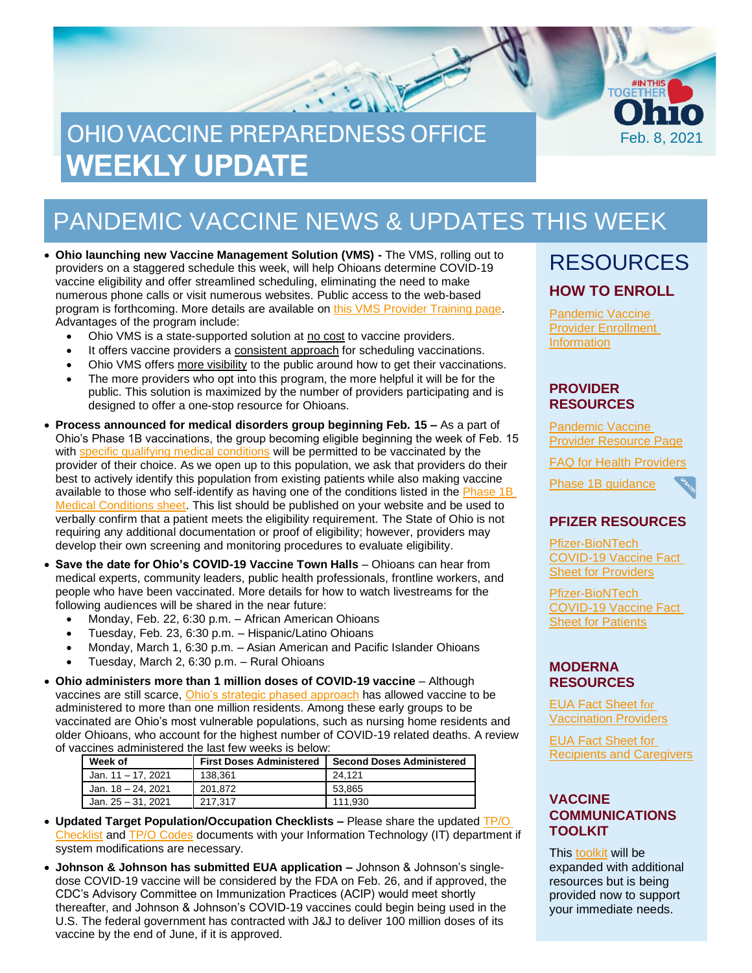# OHIO VACCINE PREPAREDNESS OFFICE **WEEKLY UPDATE**

## PANDEMIC VACCINE NEWS & UPDATES THIS WEEK

• **Ohio launching new Vaccine Management Solution (VMS) -** The VMS, rolling out to providers on a staggered schedule this week, will help Ohioans determine COVID-19 vaccine eligibility and offer streamlined scheduling, eliminating the need to make numerous phone calls or visit numerous websites. Public access to the web-based program is forthcoming. More details are available on [this VMS Provider Training page.](https://odh.ohio.gov/wps/portal/gov/odh/know-our-programs/covid-19-vaccine-provider/vms-training) Advantages of the program include:

- Ohio VMS is a state-supported solution at no cost to vaccine providers.
- It offers vaccine providers a consistent approach for scheduling vaccinations.
- Ohio VMS offers more visibility to the public around how to get their vaccinations.
- The more providers who opt into this program, the more helpful it will be for the public. This solution is maximized by the number of providers participating and is designed to offer a one-stop resource for Ohioans.
- **Process announced for medical disorders group beginning Feb. 15 –** As a part of Ohio's Phase 1B vaccinations, the group becoming eligible beginning the week of Feb. 15 with [specific qualifying medical conditions](https://coronavirus.ohio.gov/static/vaccine/phase_1b_medical.pdf) will be permitted to be vaccinated by the provider of their choice. As we open up to this population, we ask that providers do their best to actively identify this population from existing patients while also making vaccine available to those who self-identify as having one of the conditions listed in the Phase 1B [Medical Conditions sheet.](https://coronavirus.ohio.gov/static/vaccine/phase_1b_medical.pdf) This list should be published on your website and be used to verbally confirm that a patient meets the eligibility requirement. The State of Ohio is not requiring any additional documentation or proof of eligibility; however, providers may develop their own screening and monitoring procedures to evaluate eligibility.
- **Save the date for Ohio's COVID-19 Vaccine Town Halls** Ohioans can hear from medical experts, community leaders, public health professionals, frontline workers, and people who have been vaccinated. More details for how to watch livestreams for the following audiences will be shared in the near future:
	- Monday, Feb. 22, 6:30 p.m. African American Ohioans
	- Tuesday, Feb. 23, 6:30 p.m. Hispanic/Latino Ohioans
	- Monday, March 1, 6:30 p.m. Asian American and Pacific Islander Ohioans
	- Tuesday, March 2, 6:30 p.m. Rural Ohioans
- **Ohio administers more than 1 million doses of COVID-19 vaccine**  Although vaccines are still scarce, *[Ohio's strategic phased approach](https://coronavirus.ohio.gov/static/vaccine/general_fact_sheet.pdf)* has allowed vaccine to be administered to more than one million residents. Among these early groups to be vaccinated are Ohio's most vulnerable populations, such as nursing home residents and older Ohioans, who account for the highest number of COVID-19 related deaths. A review of vaccines administered the last few weeks is below:

| Week of            | <b>First Doses Administered</b> | <b>Second Doses Administered</b> |
|--------------------|---------------------------------|----------------------------------|
| Jan. 11 – 17. 2021 | 138.361                         | 24.121                           |
| Jan. 18 – 24. 2021 | 201.872                         | 53.865                           |
| Jan. 25 – 31. 2021 | 217.317                         | 111.930                          |

- **Updated Target Population/Occupation Checklists –** Please share the updated [TP/O](https://odh.ohio.gov/static/covid19/vaccine-providers/covid-19-vaccine-checklist-population-data.pdf)  [Checklist](https://odh.ohio.gov/static/covid19/vaccine-providers/covid-19-vaccine-checklist-population-data.pdf) and [TP/O Codes](https://odh.ohio.gov/static/covid19/vaccine-providers/tpo-code-list-updated.pdf) documents with your Information Technology (IT) department if system modifications are necessary.
- **Johnson & Johnson has submitted EUA application –** Johnson & Johnson's singledose COVID-19 vaccine will be considered by the FDA on Feb. 26, and if approved, the CDC's Advisory Committee on Immunization Practices (ACIP) would meet shortly thereafter, and Johnson & Johnson's COVID-19 vaccines could begin being used in the U.S. The federal government has contracted with J&J to deliver 100 million doses of its vaccine by the end of June, if it is approved.

### RESOURCES **HOW TO ENROLL**

Feb. 8, 2021

**TOGËT** 

[Pandemic Vaccine](https://odh.ohio.gov/wps/portal/gov/odh/know-our-programs/immunization/pandemic-vaccine-provider/ohio-covid-19-provider-enrollment)  [Provider Enrollment](https://odh.ohio.gov/wps/portal/gov/odh/know-our-programs/immunization/pandemic-vaccine-provider/ohio-covid-19-provider-enrollment)  **[Information](https://odh.ohio.gov/wps/portal/gov/odh/know-our-programs/immunization/pandemic-vaccine-provider/ohio-covid-19-provider-enrollment)** 

#### **PROVIDER RESOURCES**

[Pandemic](https://odh.ohio.gov/wps/portal/gov/odh/know-our-programs/Immunization/pandemic-vaccine-provider) Vaccine [Provider Resource Page](https://odh.ohio.gov/wps/portal/gov/odh/know-our-programs/Immunization/pandemic-vaccine-provider)

FAQ for Health [Providers](https://coronavirus.ohio.gov/static/docs/Enrollment-Information-FAQ.pdf)



#### **PFIZER RESOURCES**

[Pfizer-BioNTech](https://www.fda.gov/media/144413/download)  [COVID-19 Vaccine Fact](https://www.fda.gov/media/144413/download)  [Sheet for Providers](https://www.fda.gov/media/144413/download)

[Pfizer-BioNTech](https://odh.ohio.gov/wps/portal/gov/odh/know-our-programs/covid-19-vaccine-provider/manufacturer-specific-information/manufacturer-specific-information/!ut/p/z1/jZDdCoJAEEafxQdYZo1c8tKExJ81IkXbm1g2tYVcZVMvevrMO6HSuZvhHJjvAwY5MMUHWfFONoo_xv3CyDW2Pcc0Qxx7JLLx6UiTwMTUxy6BbA7sEssZAZJ64eHsJ1sL2Bof_xgHL_nBEjAm2Gjq0gpYy7s7kqpsIBfNIG_ItNHAhZCqQK3-XAoNec1VX3LR9brQ6NkWQpZSTJqup1rWIBmw-WNfipmAP8nbOs1f0d72K8N4A42Ic8o!/%C2%A0https:/www.fda.gov/media/144414/download)  [COVID-19 Vaccine Fact](https://odh.ohio.gov/wps/portal/gov/odh/know-our-programs/covid-19-vaccine-provider/manufacturer-specific-information/manufacturer-specific-information/!ut/p/z1/jZDdCoJAEEafxQdYZo1c8tKExJ81IkXbm1g2tYVcZVMvevrMO6HSuZvhHJjvAwY5MMUHWfFONoo_xv3CyDW2Pcc0Qxx7JLLx6UiTwMTUxy6BbA7sEssZAZJ64eHsJ1sL2Bof_xgHL_nBEjAm2Gjq0gpYy7s7kqpsIBfNIG_ItNHAhZCqQK3-XAoNec1VX3LR9brQ6NkWQpZSTJqup1rWIBmw-WNfipmAP8nbOs1f0d72K8N4A42Ic8o!/%C2%A0https:/www.fda.gov/media/144414/download)  [Sheet for Patients](https://odh.ohio.gov/wps/portal/gov/odh/know-our-programs/covid-19-vaccine-provider/manufacturer-specific-information/manufacturer-specific-information/!ut/p/z1/jZDdCoJAEEafxQdYZo1c8tKExJ81IkXbm1g2tYVcZVMvevrMO6HSuZvhHJjvAwY5MMUHWfFONoo_xv3CyDW2Pcc0Qxx7JLLx6UiTwMTUxy6BbA7sEssZAZJ64eHsJ1sL2Bof_xgHL_nBEjAm2Gjq0gpYy7s7kqpsIBfNIG_ItNHAhZCqQK3-XAoNec1VX3LR9brQ6NkWQpZSTJqup1rWIBmw-WNfipmAP8nbOs1f0d72K8N4A42Ic8o!/%C2%A0https:/www.fda.gov/media/144414/download)

#### **MODERNA RESOURCES**

[EUA Fact Sheet f](https://www.modernatx.com/covid19vaccine-eua/eua-fact-sheet-providers.pdf)[or](https://www.modernatx.com/covid19vaccine-eua/eua-fact-sheet-providers.pdf)  [Vaccination Providers](https://www.modernatx.com/covid19vaccine-eua/eua-fact-sheet-providers.pdf)

[EUA Fact Sheet for](https://www.modernatx.com/covid19vaccine-eua/eua-fact-sheet-recipients.pdf)  [Recipients and Caregivers](https://www.modernatx.com/covid19vaccine-eua/eua-fact-sheet-recipients.pdf)

#### **VACCINE COMMUNICATIONS TOOLKIT**

This [toolkit](https://odh.ohio.gov/static/covid19/vaccine-providers/communications_toolkit.pdf) will be expanded with additional resources but is being provided now to support your immediate needs.